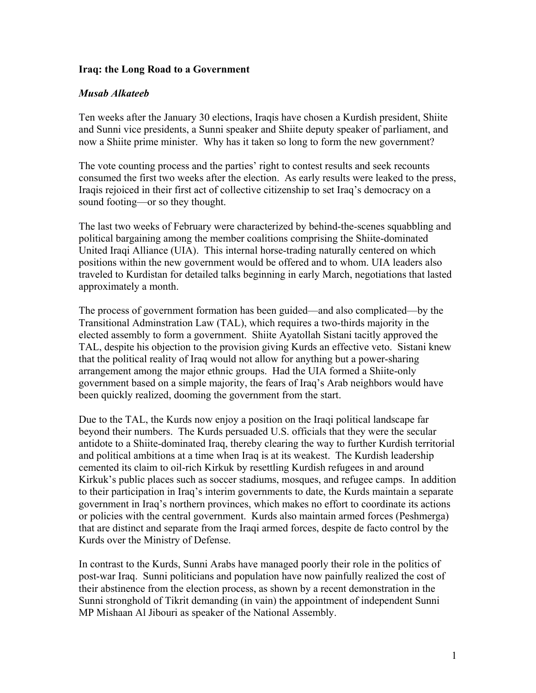## **Iraq: the Long Road to a Government**

## *Musab Alkateeb*

Ten weeks after the January 30 elections, Iraqis have chosen a Kurdish president, Shiite and Sunni vice presidents, a Sunni speaker and Shiite deputy speaker of parliament, and now a Shiite prime minister. Why has it taken so long to form the new government?

The vote counting process and the parties' right to contest results and seek recounts consumed the first two weeks after the election. As early results were leaked to the press, Iraqis rejoiced in their first act of collective citizenship to set Iraq's democracy on a sound footing—or so they thought.

The last two weeks of February were characterized by behind-the-scenes squabbling and political bargaining among the member coalitions comprising the Shiite-dominated United Iraqi Alliance (UIA). This internal horse-trading naturally centered on which positions within the new government would be offered and to whom. UIA leaders also traveled to Kurdistan for detailed talks beginning in early March, negotiations that lasted approximately a month.

The process of government formation has been guided—and also complicated—by the Transitional Adminstration Law (TAL), which requires a two-thirds majority in the elected assembly to form a government. Shiite Ayatollah Sistani tacitly approved the TAL, despite his objection to the provision giving Kurds an effective veto. Sistani knew that the political reality of Iraq would not allow for anything but a power-sharing arrangement among the major ethnic groups. Had the UIA formed a Shiite-only government based on a simple majority, the fears of Iraq's Arab neighbors would have been quickly realized, dooming the government from the start.

Due to the TAL, the Kurds now enjoy a position on the Iraqi political landscape far beyond their numbers. The Kurds persuaded U.S. officials that they were the secular antidote to a Shiite-dominated Iraq, thereby clearing the way to further Kurdish territorial and political ambitions at a time when Iraq is at its weakest. The Kurdish leadership cemented its claim to oil-rich Kirkuk by resettling Kurdish refugees in and around Kirkuk's public places such as soccer stadiums, mosques, and refugee camps. In addition to their participation in Iraq's interim governments to date, the Kurds maintain a separate government in Iraq's northern provinces, which makes no effort to coordinate its actions or policies with the central government. Kurds also maintain armed forces (Peshmerga) that are distinct and separate from the Iraqi armed forces, despite de facto control by the Kurds over the Ministry of Defense.

In contrast to the Kurds, Sunni Arabs have managed poorly their role in the politics of post-war Iraq. Sunni politicians and population have now painfully realized the cost of their abstinence from the election process, as shown by a recent demonstration in the Sunni stronghold of Tikrit demanding (in vain) the appointment of independent Sunni MP Mishaan Al Jibouri as speaker of the National Assembly.